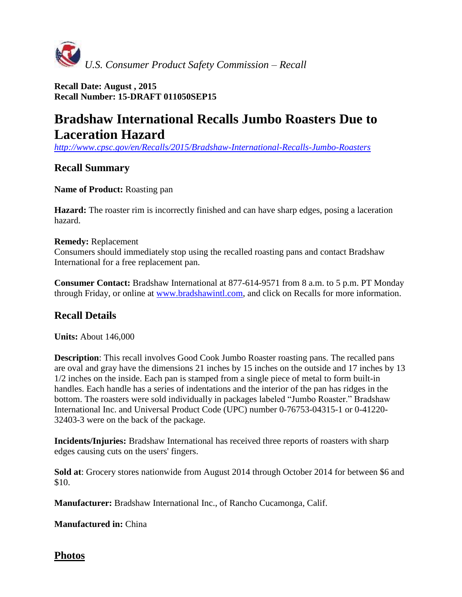

**Recall Date: August , 2015 Recall Number: 15-DRAFT 011050SEP15**

# **Bradshaw International Recalls Jumbo Roasters Due to Laceration Hazard**

*<http://www.cpsc.gov/en/Recalls/2015/Bradshaw-International-Recalls-Jumbo-Roasters>*

# **Recall Summary**

## **Name of Product:** Roasting pan

**Hazard:** The roaster rim is incorrectly finished and can have sharp edges, posing a laceration hazard.

### **Remedy:** Replacement

Consumers should immediately stop using the recalled roasting pans and contact Bradshaw International for a free replacement pan.

**Consumer Contact:** Bradshaw International at 877-614-9571 from 8 a.m. to 5 p.m. PT Monday through Friday, or online at [www.bradshawintl.com,](http://www.bradshawintl.com/) and click on Recalls for more information.

# **Recall Details**

**Units:** About 146,000

**Description**: This recall involves Good Cook Jumbo Roaster roasting pans. The recalled pans are oval and gray have the dimensions 21 inches by 15 inches on the outside and 17 inches by 13 1/2 inches on the inside. Each pan is stamped from a single piece of metal to form built-in handles. Each handle has a series of indentations and the interior of the pan has ridges in the bottom. The roasters were sold individually in packages labeled "Jumbo Roaster." Bradshaw International Inc. and Universal Product Code (UPC) number 0-76753-04315-1 or 0-41220- 32403-3 were on the back of the package.

**Incidents/Injuries:** Bradshaw International has received three reports of roasters with sharp edges causing cuts on the users' fingers.

**Sold at**: Grocery stores nationwide from August 2014 through October 2014 for between \$6 and \$10.

**Manufacturer:** Bradshaw International Inc., of Rancho Cucamonga, Calif.

**Manufactured in:** China

**Photos**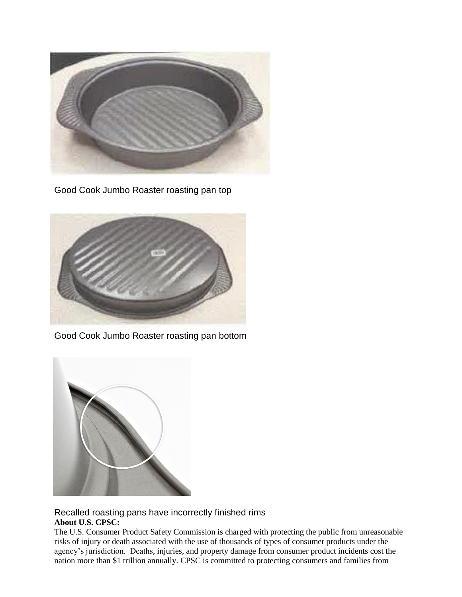

Good Cook Jumbo Roaster roasting pan top



Good Cook Jumbo Roaster roasting pan bottom



Recalled roasting pans have incorrectly finished rims **About U.S. CPSC:**

The U.S. Consumer Product Safety Commission is charged with protecting the public from unreasonable risks of injury or death associated with the use of thousands of types of consumer products under the agency's jurisdiction. Deaths, injuries, and property damage from consumer product incidents cost the nation more than \$1 trillion annually. CPSC is committed to protecting consumers and families from